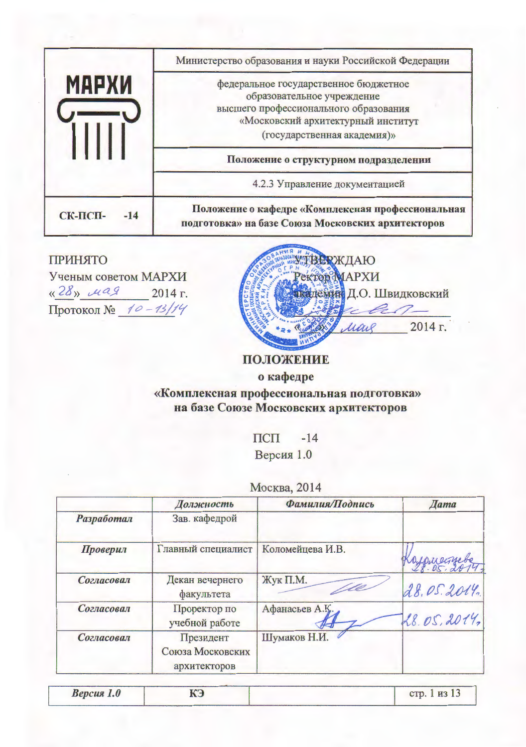|                  | Министерство образования и науки Российской Федерации                                                                                                                             |  |  |
|------------------|-----------------------------------------------------------------------------------------------------------------------------------------------------------------------------------|--|--|
| <b>МАРХИ</b>     | федеральное государственное бюджетное<br>образовательное учреждение<br>высшего профессионального образования<br>«Московский архитектурный институт<br>(государственная академия)» |  |  |
|                  | Положение о структурном подразделении                                                                                                                                             |  |  |
|                  | 4.2.3 Управление документацией                                                                                                                                                    |  |  |
| СК-ПСП-<br>$-14$ | Положение о кафедре «Комплексная профессиональная<br>подготовка» на базе Союза Московских архитекторов                                                                            |  |  |

# **ПРИНЯТО**

Ученым советом МАРХИ  $\frac{1}{428}$   $\frac{\mu a9}{2014}$  . Протокол № 10-13/14



# ПОЛОЖЕНИЕ

о кафедре

«Комплексная профессиональная подготовка» на базе Союзе Московских архитекторов

 $\Pi$ C $\Pi$  -14

Версия 1.0

|  | Москва, 2014 |  |  |  |
|--|--------------|--|--|--|
|--|--------------|--|--|--|

|            | Должность                                     | Фамилия/Подпись  | <b><i><u></u></i></b> Aama |
|------------|-----------------------------------------------|------------------|----------------------------|
| Разработал | Зав. кафедрой                                 |                  |                            |
| Проверил   | Главный специалист                            | Коломейцева И.В. | Koypuecinebe               |
| Согласовал | Декан вечернего<br>факультета                 | Жук П.М.         | 28.05.2014.                |
| Согласовал | Проректор по<br>учебной работе                | Афанасьев А.Қ.   | 28.05,2014,                |
| Согласовал | Президент<br>Союза Московских<br>архитекторов | Шумаков Н.И.     |                            |

| стр. 1 из 13<br>КЭ<br>Версия 1.0 |  |
|----------------------------------|--|
|----------------------------------|--|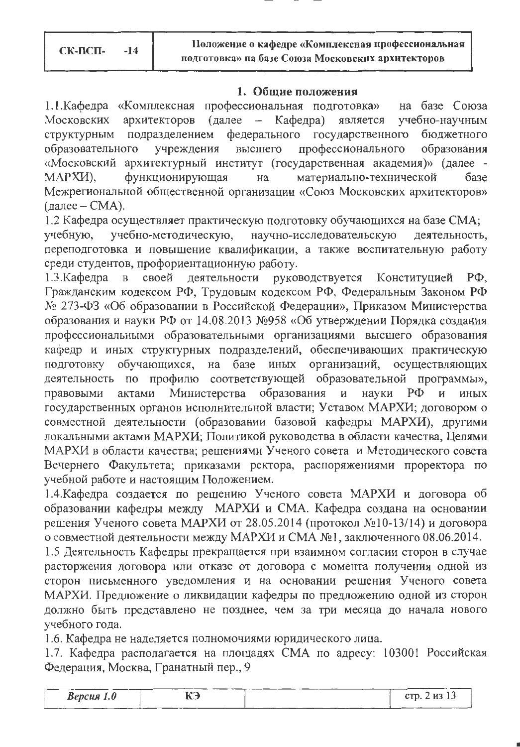#### 1. Общие положения

1.1. Кафедра «Комплексная профессиональная подготовка» на базе Союза Московских архитекторов (далее – Кафедра) является учебно-научным федерального государственного бюджетного структурным подразделением учреждения профессионального образования образовательного высшего «Московский архитектурный институт (государственная академия)» (далее функционирующая материально-технической базе МАРХИ), на Межрегиональной общественной организации «Союз Московских архитекторов» (далее –  $CMA$ ).

1.2 Кафедра осуществляет практическую подготовку обучающихся на базе СМА; учебно-методическую, научно-исследовательскую деятельность, учебную. переподготовка и повышение квалификации, а также воспитательную работу среди студентов, профориентационную работу.

деятельности руководствуется Конституцией РФ,  $1.3$ . Кафедра  $\mathbf{B}$ своей Гражданским кодексом РФ, Трудовым кодексом РФ, Федеральным Законом РФ № 273-ФЗ «Об образовании в Российской Федерации», Приказом Министерства образования и науки РФ от 14.08.2013 №958 «Об утверждении Порядка создания профессиональными образовательными организациями высшего образования кафедр и иных структурных подразделений, обеспечивающих практическую подготовку обучающихся, на базе иных организаций, осуществляющих деятельность по профилю соответствующей образовательной программы», актами Министерства образования и науки  $\mathbf{H}$ правовыми  $P\Phi$ иных государственных органов исполнительной власти; Уставом МАРХИ; договором о совместной деятельности (образовании базовой кафедры МАРХИ), другими локальными актами МАРХИ; Политикой руководства в области качества, Целями МАРХИ в области качества; решениями Ученого совета и Методического совета Вечернего Факультета; приказами ректора, распоряжениями проректора по учебной работе и настоящим Положением.

1.4. Кафедра создается по решению Ученого совета МАРХИ и договора об образовании кафедры между МАРХИ и СМА. Кафедра создана на основании решения Ученого совета МАРХИ от 28.05.2014 (протокол №10-13/14) и договора о совместной деятельности между МАРХИ и СМА №1, заключенного 08.06.2014.

1.5 Деятельность Кафедры прекращается при взаимном согласии сторон в случае расторжения договора или отказе от договора с момента получения одной из сторон письменного уведомления и на основании решения Ученого совета МАРХИ. Предложение о ликвидации кафедры по предложению одной из сторон должно быть представлено не позднее, чем за три месяца до начала нового учебного года.

1.6. Кафедра не наделяется полномочиями юридического лица.

1.7. Кафедра располагается на площадях СМА по адресу: 103001 Российская Федерация, Москва, Гранатный пер., 9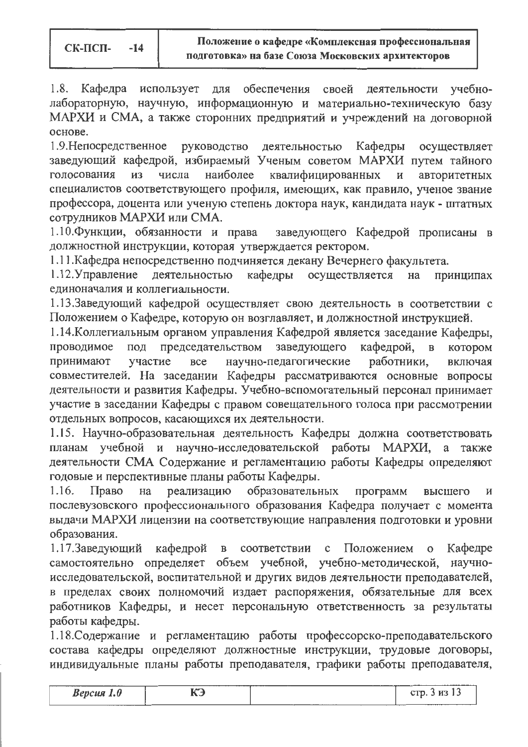$1.8.$ Кафедра использует для обеспечения своей деятельности учебнолабораторную, научную, информационную и материально-техническую базу МАРХИ и СМА, а также сторонних предприятий и учреждений на договорной основе.

1.9. Непосредственное руководство деятельностью Кафедры осуществляет заведующий кафедрой, избираемый Ученым советом МАРХИ путем тайного квалифицированных И3 числа наиболее авторитетных голосования И специалистов соответствующего профиля, имеющих, как правило, ученое звание профессора, доцента или ученую степень доктора наук, кандидата наук - штатных сотрудников МАРХИ или СМА.

1.10. Функции, обязанности и права заведующего Кафедрой прописаны в должностной инструкции, которая утверждается ректором.

1.11. Кафедра непосредственно подчиняется декану Вечернего факультета.

 $1.12$ . Управление деятельностью кафедры осуществляется на принципах единоначалия и коллегиальности.

1.13.Заведующий кафедрой осуществляет свою деятельность в соответствии с Положением о Кафедре, которую он возглавляет, и должностной инструкцией.

1.14. Коллегиальным органом управления Кафедрой является заседание Кафедры, под председательством заведующего кафедрой,  $\mathbf{B}$ проводимое котором научно-педагогические участие **BCe** работники, принимают включая совместителей. На заседании Кафедры рассматриваются основные вопросы деятельности и развития Кафедры. Учебно-вспомогательный персонал принимает участие в заседании Кафедры с правом совещательного голоса при рассмотрении отдельных вопросов, касающихся их деятельности.

1.15. Научно-образовательная деятельность Кафедры должна соответствовать планам учебной и научно-исследовательской работы МАРХИ, a также деятельности СМА Содержание и регламентацию работы Кафедры определяют годовые и перспективные планы работы Кафедры.

реализацию образовательных  $1.16.$ Право на программ высшего послевузовского профессионального образования Кафедра получает с момента выдачи МАРХИ лицензии на соответствующие направления подготовки и уровни образования.

в соответствии с Положением Кафедре 1.17.Заведующий кафедрой  $\mathbf{O}$ самостоятельно определяет объем учебной, учебно-методической, научноисследовательской, воспитательной и других видов деятельности преподавателей, в пределах своих полномочий издает распоряжения, обязательные для всех работников Кафедры, и несет персональную ответственность за результаты работы кафедры.

1.18. Содержание и регламентацию работы профессорско-преподавательского состава кафедры определяют должностные инструкции, трудовые договоры, индивидуальные планы работы преподавателя, графики работы преподавателя,

| Версия $1.0$ | КЭ | CTD. $3$ H <sub>3</sub> $13$ |
|--------------|----|------------------------------|
|              |    |                              |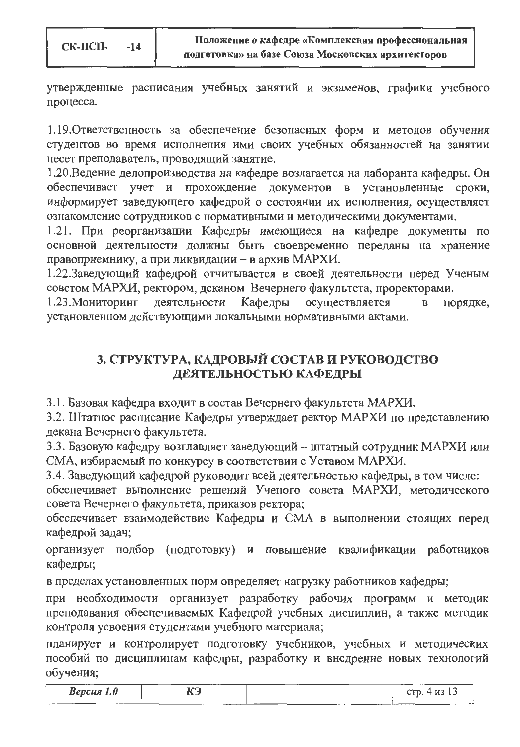СК-ПСП- $-14$ 

утвержденные расписания учебных занятий и экзаменов, графики учебного процесса.

1.19. Ответственность за обеспечение безопасных форм и методов обучения студентов во время исполнения ими своих учебных обязанностей на занятии несет преподаватель, проводящий занятие.

1.20. Ведение делопроизводства на кафедре возлагается на лаборанта кафедры. Он обеспечивает учет и прохождение документов в установленные сроки, информирует заведующего кафедрой о состоянии их исполнения, осуществляет ознакомление сотрудников с нормативными и методическими документами.

1.21. При реорганизации Кафедры имеющиеся на кафедре документы по основной деятельности должны быть своевременно переданы на хранение правоприемнику, а при ликвидации - в архив МАРХИ.

1.22.Заведующий кафедрой отчитывается в своей деятельности перед Ученым советом МАРХИ, ректором, деканом Вечернего факультета, проректорами.

1.23. Мониторинг деятельности Кафедры осуществляется порядке,  $\overline{B}$ установленном действующими локальными нормативными актами.

# 3. СТРУКТУРА, КАДРОВЫЙ СОСТАВ И РУКОВОДСТВО ДЕЯТЕЛЬНОСТЬЮ КАФЕДРЫ

3.1. Базовая кафедра входит в состав Вечернего факультета МАРХИ.

3.2. Штатное расписание Кафедры утверждает ректор МАРХИ по представлению декана Вечернего факультета.

3.3. Базовую кафедру возглавляет заведующий - штатный сотрудник МАРХИ или СМА, избираемый по конкурсу в соответствии с Уставом МАРХИ.

3.4. Заведующий кафедрой руководит всей деятельностью кафедры, в том числе:

обеспечивает выполнение решений Ученого совета МАРХИ, методического совета Вечернего факультета, приказов ректора;

обеспечивает взаимодействие Кафедры и СМА в выполнении стоящих перед кафедрой задач;

организует подбор (подготовку) и повышение квалификации работников кафедры;

в пределах установленных норм определяет нагрузку работников кафедры;

при необходимости организует разработку рабочих программ и методик преподавания обеспечиваемых Кафедрой учебных дисциплин, а также методик контроля усвоения студентами учебного материала;

планирует и контролирует подготовку учебников, учебных и методических пособий по дисциплинам кафедры, разработку и внедрение новых технологий обучения;

| $Bepc$ ия 1.0 | ¶r∩<br>r J | стр. 4 из 13 |
|---------------|------------|--------------|
|               |            |              |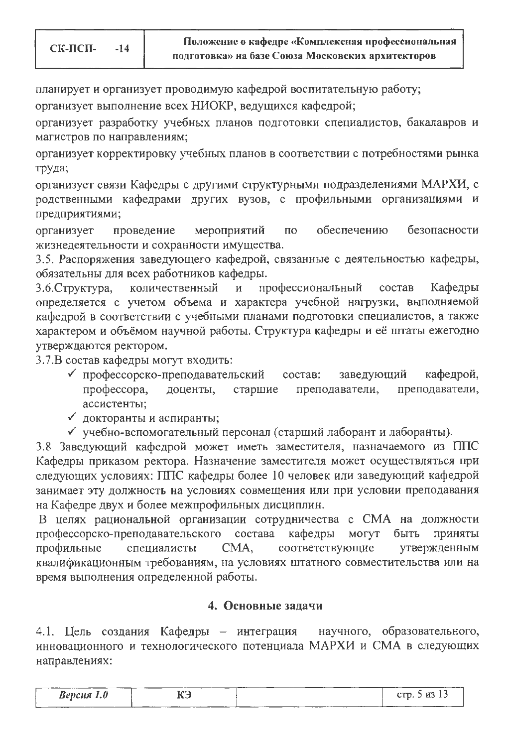планирует и организует проводимую кафедрой воспитательную работу;

организует выполнение всех НИОКР, ведущихся кафедрой;

организует разработку учебных планов подготовки специалистов, бакалавров и магистров по направлениям;

организует корректировку учебных планов в соответствии с потребностями рынка труда;

организует связи Кафедры с другими структурными подразделениями МАРХИ, с родственными кафедрами других вузов, с профильными организациями и предприятиями;

мероприятий обеспечению безопасности организует проведение  $\overline{10}$ жизнедеятельности и сохранности имущества.

3.5. Распоряжения заведующего кафедрой, связанные с деятельностью кафедры, обязательны для всех работников кафедры.

количественный профессиональный состав Кафедры 3.6. Структура,  $\mathbf{M}$ определяется с учетом объема и характера учебной нагрузки, выполняемой кафедрой в соответствии с учебными планами подготовки специалистов, а также характером и объёмом научной работы. Структура кафедры и её штаты ежегодно утверждаются ректором.

3.7.В состав кафедры могут входить:

- √ профессорско-преподавательский заведующий кафедрой, cocrab: профессора, доценты, старшие преподаватели, преподаватели, ассистенты;
- √ докторанты и аспиранты;
- √ учебно-вспомогательный персонал (старший лаборант и лаборанты).

3.8 Заведующий кафедрой может иметь заместителя, назначаемого из ППС Кафедры приказом ректора. Назначение заместителя может осуществляться при следующих условиях: ППС кафедры более 10 человек или заведующий кафедрой занимает эту должность на условиях совмещения или при условии преподавания на Кафедре двух и более межпрофильных дисциплин.

В целях рациональной организации сотрудничества с СМА на должности профессорско-преподавательского состава кафедры **MOLAL** быть приняты утвержденным профильные специалисты CMA, соответствующие квалификационным требованиям, на условиях штатного совместительства или на время выполнения определенной работы.

#### 4. Основные задачи

4.1. Цель создания Кафедры - интеграция научного, образовательного, инновационного и технологического потенциала МАРХИ и СМА в следующих направлениях:

| <b>Версия</b> 1.0 | КЭ<br>____ | ---- | CTD.5<br>7 H3 IS |
|-------------------|------------|------|------------------|
|                   |            |      |                  |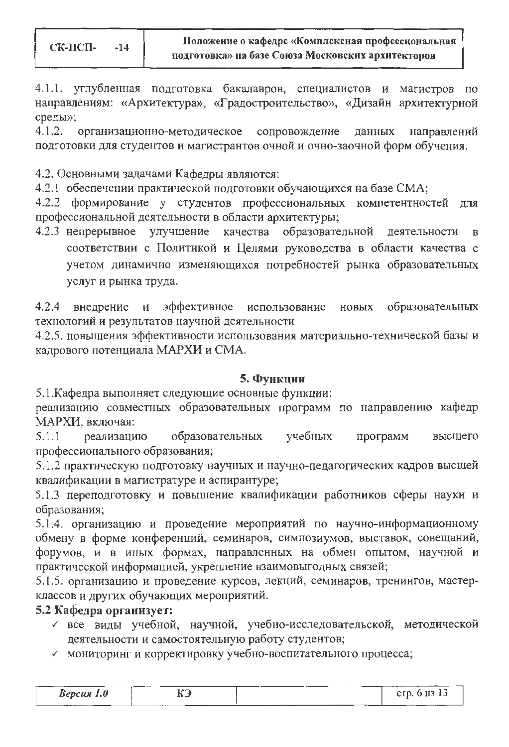4.1.1. углубленная подготовка бакалавров, специалистов и магистров по направлениям: «Архитектура», «Градостроительство», «Дизайн архитектурной среды»;

 $4.1.2.$ организационно-методическое сопровождение данных направлений подготовки для студентов и магистрантов очной и очно-заочной форм обучения.

4.2. Основными задачами Кафедры являются:

4.2.1 обеспечении практической подготовки обучающихся на базе СМА;

4.2.2 формирование у студентов профессиональных компетентностей для профессиональной деятельности в области архитектуры;

4.2.3 непрерывное улучшение качества образовательной деятельности соответствии с Политикой и Целями руководства в области качества с учетом динамично изменяющихся потребностей рынка образовательных услуг и рынка труда.

 $4.2.4$ эффективное использование образовательных внедрение  $\mathbf{N}$ новых технологий и результатов научной деятельности

4.2.5. повышения эффективности использования материально-технической базы и кадрового потенциала МАРХИ и СМА.

### 5. Функции

5.1. Кафедра выполняет следующие основные функции:

реализацию совместных образовательных программ по направлению кафедр МАРХИ, включая:

учебных программ  $5.1.1$ реализацию образовательных высшего профессионального образования;

5.1.2 практическую подготовку научных и научно-педагогических кадров высшей квалификации в магистратуре и аспирантуре;

5.1.3 переподготовку и повышение квалификации работников сферы науки и образования;

5.1.4. организацию и проведение мероприятий по научно-информационному обмену в форме конференций, семинаров, симпозиумов, выставок, совещаний, форумов, и в иных формах, направленных на обмен опытом, научной и практической информацией, укрепление взаимовыгодных связей;

5.1.5. организацию и проведение курсов, лекций, семинаров, тренингов, мастерклассов и других обучающих мероприятий.

# 5.2 Кафедра организует:

- все виды учебной, научной, учебно-исследовательской, методической деятельности и самостоятельную работу студентов;
- √ мониторинг и корректировку учебно-воспитательного процесса;

| $Bepcu$ я 1.0 | C N |       | стр. 6 из 1 $\sigma$ |
|---------------|-----|-------|----------------------|
|               |     | _____ |                      |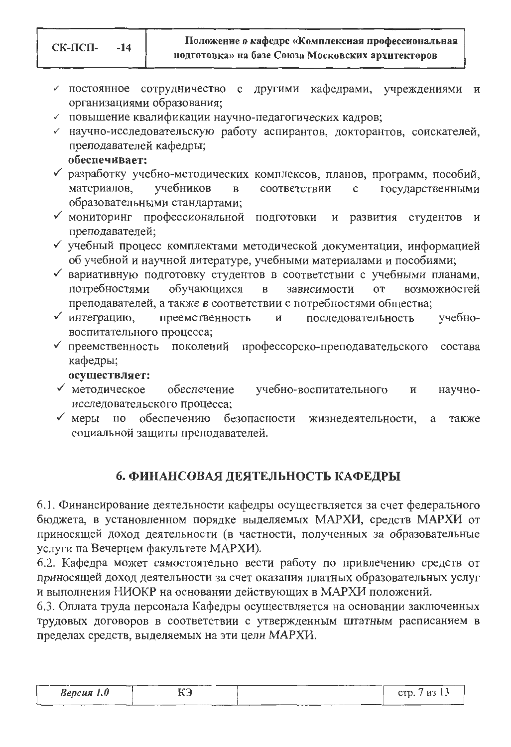- √ постоянное сотрудничество с другими кафедрами, учреждениями  $\mathbf H$ организациями образования;
- √ повышение квалификации научно-педагогических кадров;
- √ научно-исследовательскую работу аспирантов, докторантов, соискателей, преподавателей кафедры;
	- обеспечивает:
- √ разработку учебно-методических комплексов, планов, программ, пособий, учебников материалов,  $\, {\bf B}$ соответствии государственными  $\mathbf c$ образовательными стандартами;
- √ мониторинг профессиональной подготовки развития студентов  $\boldsymbol{\mathrm{M}}$ И преподавателей;
- У учебный процесс комплектами методической документации, информацией об учебной и научной литературе, учебными материалами и пособиями;
- √ вариативную подготовку студентов в соответствии с учебными планами, потребностями обучающихся зависимости возможностей  $\, {\bf B}$ **OT** преподавателей, а также в соответствии с потребностями общества;
- √ интеграцию, преемственность последовательность учебно-И воспитательного процесса;
- √ преемственность поколений профессорско-преподавательского состава кафедры;
	- осуществляет:
- √ методическое обеспечение учебно-воспитательного  $\overline{M}$ научноисследовательского процесса;
- $\sqrt{M}$  меры по обеспечению безопасности жизнедеятельности, также социальной защиты преподавателей.

# 6. ФИНАНСОВАЯ ДЕЯТЕЛЬНОСТЬ КАФЕДРЫ

6.1. Финансирование деятельности кафедры осуществляется за счет федерального бюджета, в установленном порядке выделяемых МАРХИ, средств МАРХИ от приносящей доход деятельности (в частности, полученных за образовательные услуги на Вечернем факультете МАРХИ).

6.2. Кафедра может самостоятельно вести работу по привлечению средств от приносящей доход деятельности за счет оказания платных образовательных услуг и выполнения НИОКР на основании действующих в МАРХИ положений.

6.3. Оплата труда персонала Кафедры осуществляется на основании заключенных трудовых договоров в соответствии с утвержденным штатным расписанием в пределах средств, выделяемых на эти цели МАРХИ.

| стр. 7 из 13<br>КЭ<br>$Bepc$ ия 1.0 |
|-------------------------------------|
|-------------------------------------|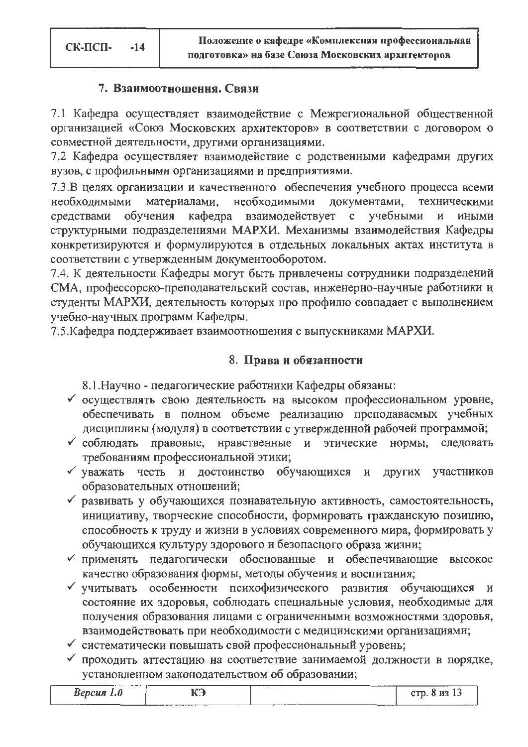### 7. Взаимоотношення. Связи

7.1 Кафедра осуществляет взаимодействие с Межрегиональной общественной организацией «Союз Московских архитекторов» в соответствии с договором о совместной деятельности, другими организациями.

7.2 Кафедра осуществляет взаимодействие с родственными кафедрами других вузов, с профильными организациями и предприятиями.

7.3.В целях организации и качественного обеспечения учебного процесса всеми необходимыми документами, необходимыми материалами, техническими средствами обучения кафедра взаимодействует с учебными И иными структурными подразделениями МАРХИ. Механизмы взаимодействия Кафедры конкретизируются и формулируются в отдельных локальных актах института в соответствии с утвержденным документооборотом.

7.4. К деятельности Кафедры могут быть привлечены сотрудники подразделений СМА, профессорско-преподавательский состав, инженерно-научные работники и студенты МАРХИ, деятельность которых про профилю совпадает с выполнением учебно-научных программ Кафедры.

7.5. Кафедра поддерживает взаимоотношения с выпускниками МАРХИ.

## 8. Права н обязанности

8.1. Научно - педагогические работники Кафедры обязаны:

- √ осуществлять свою деятельность на высоком профессиональном уровне, обеспечивать в полном объеме реализацию преподаваемых учебных дисциплины (модуля) в соответствии с утвержденной рабочей программой;
- √ соблюдать правовые, нравственные и этические нормы, следовать требованиям профессиональной этики;
- √ уважать честь и достоинство обучающихся и других участников образовательных отношений;
- √ развивать у обучающихся познавательную активность, самостоятельность, инициативу, творческие способности, формировать гражданскую позицию, способность к труду и жизни в условиях современного мира, формировать у обучающихся культуру здорового и безопасного образа жизни;
- √ применять педагогически обоснованные и обеспечивающие высокое качество образования формы, методы обучения и воспитания;
- У учитывать особенности психофизического развития обучающихся И состояние их здоровья, соблюдать специальные условия, необходимые для получения образования лицами с ограниченными возможностями здоровья, взаимодействовать при необходимости с медицинскими организациями;
- √ систематически повышать свой профессиональный уровень;
- √ проходить аттестацию на соответствие занимаемой должности в порядке, установленном законодательством об образовании;

| <b>Версия</b> 1.0 | <b>EAM</b> | $M3$ 13<br>em |
|-------------------|------------|---------------|
| ______            |            |               |
|                   |            |               |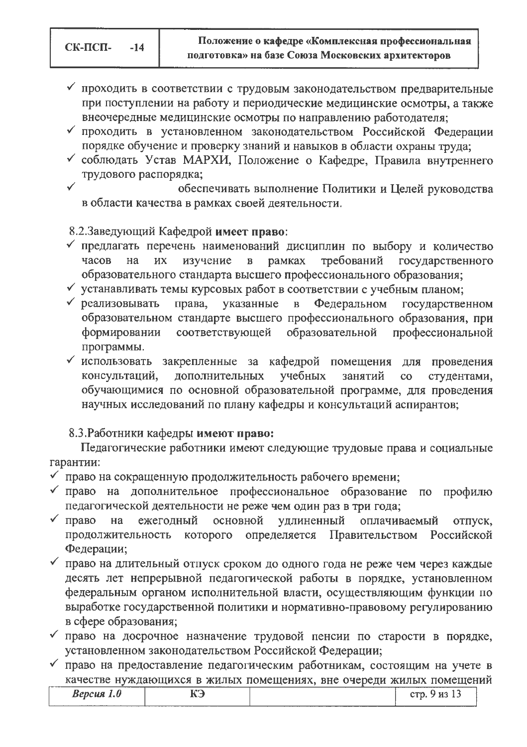СК-ПСП- $-14$ 

- √ проходить в соответствии с трудовым законодательством предварительные при поступлении на работу и периодические медицинские осмотры, а также внеочередные медицинские осмотры по направлению работодателя;
- проходить в установленном законодательством Российской Федерации порядке обучение и проверку знаний и навыков в области охраны труда;
- √ соблюдать Устав МАРХИ, Положение о Кафедре, Правила внутреннего трудового распорядка;
- обеспечивать выполнение Политики и Целей руководства в области качества в рамках своей деятельности.

8.2.Заведующий Кафедрой имеет право:

- √ предлагать перечень наименований дисциплин по выбору и количество часов **HX** изучение  $\overline{B}$ рамках требований государственного на образовательного стандарта высшего профессионального образования;
- √ устанавливать темы курсовых работ в соответствии с учебным планом;
- √ реализовывать права, указанные  $\overline{\mathbf{B}}$ Федеральном государственном образовательном стандарте высшего профессионального образования, при формировании соответствующей образовательной профессиональной программы.
- использовать закрепленные за кафедрой помещения для проведения консультаций, дополнительных учебных занятий студентами,  $\overline{c}$ обучающимися по основной образовательной программе, для проведения научных исследований по плану кафедры и консультаций аспирантов;

## 8.3. Работники кафедры имеют право:

Педагогические работники имеют следующие трудовые права и социальные гарантии:

- право на сокращенную продолжительность рабочего времени;
- право на дополнительное профессиональное образование по профилю педагогической деятельности не реже чем один раз в три года;
- $\sqrt{\quad}$  право ежегодный основной удлиненный оплачиваемый на отпуск, определяется продолжительность которого Правительством Российской Федерации;
- √ право на длительный отпуск сроком до одного года не реже чем через каждые десять лет непрерывной педагогической работы в порядке, установленном федеральным органом исполнительной власти, осуществляющим функции по выработке государственной политики и нормативно-правовому регулированию в сфере образования;
- √ право на досрочное назначение трудовой пенсии по старости в порядке, установленном законодательством Российской Федерации;
- √ право на предоставление педагогическим работникам, состоящим на учете в качестве нуждающихся в жилых помещениях, вне очереди жилых помещений

| ----<br>Kencus | <b>TACK</b><br>____ | $- - -$<br>--<br>______ |
|----------------|---------------------|-------------------------|
|                |                     |                         |